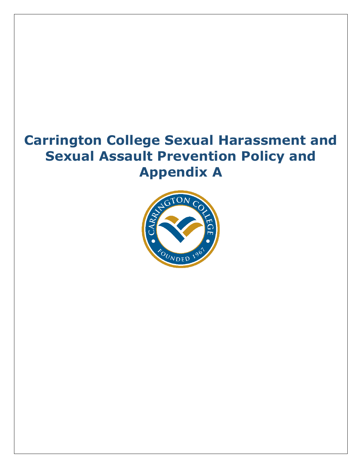# **Carrington College Sexual Harassment and Sexual Assault Prevention Policy and Appendix A**

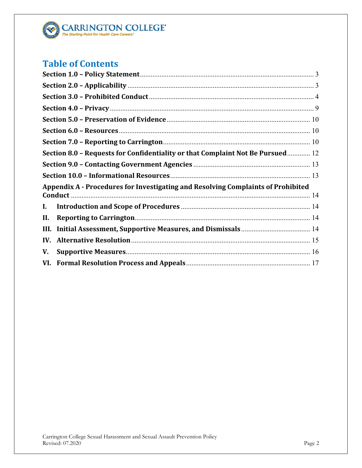

## **Table of Contents**

|      | Section 8.0 - Requests for Confidentiality or that Complaint Not Be Pursued 12   |  |
|------|----------------------------------------------------------------------------------|--|
|      |                                                                                  |  |
|      |                                                                                  |  |
|      | Appendix A - Procedures for Investigating and Resolving Complaints of Prohibited |  |
| I.   |                                                                                  |  |
| Н.   |                                                                                  |  |
| III. |                                                                                  |  |
| IV.  |                                                                                  |  |
| V.   |                                                                                  |  |
|      |                                                                                  |  |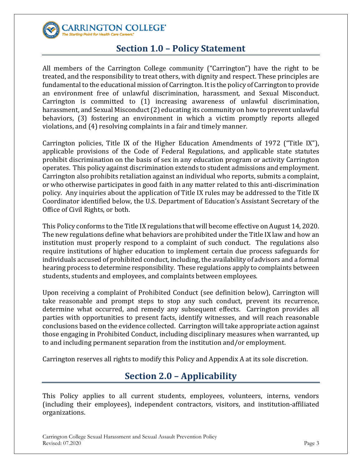<span id="page-2-0"></span>

CARRINGTON COLLEGE' ting Point for Health Care Ca

### **Section 1.0 – Policy Statement**

All members of the Carrington College community ("Carrington") have the right to be treated, and the responsibility to treat others, with dignity and respect. These principles are fundamental to the educational mission of Carrington. It is the policy of Carrington to provide an environment free of unlawful discrimination, harassment, and Sexual Misconduct. Carrington is committed to (1) increasing awareness of unlawful discrimination, harassment, and Sexual Misconduct (2) educating its community on how to prevent unlawful behaviors, (3) fostering an environment in which a victim promptly reports alleged violations, and (4) resolving complaints in a fair and timely manner.

Carrington policies, Title IX of the Higher Education Amendments of 1972 ("Title IX"), applicable provisions of the Code of Federal Regulations, and applicable state statutes prohibit discrimination on the basis of sex in any education program or activity Carrington operates. This policy against discrimination extends to student admissions and employment. Carrington also prohibits retaliation against an individual who reports, submits a complaint, or who otherwise participates in good faith in any matter related to this anti-discrimination policy. Any inquiries about the application of Title IX rules may be addressed to the Title IX Coordinator identified below, the U.S. Department of Education's Assistant Secretary of the Office of Civil Rights, or both.

This Policy conforms to the Title IX regulations that will become effective on August 14, 2020. The new regulations define what behaviors are prohibited under the Title IX law and how an institution must properly respond to a complaint of such conduct. The regulations also require institutions of higher education to implement certain due process safeguards for individuals accused of prohibited conduct, including, the availability of advisors and a formal hearing process to determine responsibility. These regulations apply to complaints between students, students and employees, and complaints between employees.

Upon receiving a complaint of Prohibited Conduct (see definition below), Carrington will take reasonable and prompt steps to stop any such conduct, prevent its recurrence, determine what occurred, and remedy any subsequent effects. Carrington provides all parties with opportunities to present facts, identify witnesses, and will reach reasonable conclusions based on the evidence collected. Carrington will take appropriate action against those engaging in Prohibited Conduct, including disciplinary measures when warranted, up to and including permanent separation from the institution and/or employment.

<span id="page-2-1"></span>Carrington reserves all rights to modify this Policy and Appendix A at its sole discretion.

## **Section 2.0 – Applicability**

This Policy applies to all current students, employees, volunteers, interns, vendors (including their employees), independent contractors, visitors, and institution-affiliated organizations.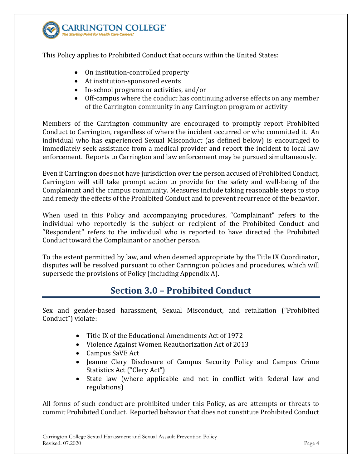

This Policy applies to Prohibited Conduct that occurs within the United States:

- On institution-controlled property
- At institution-sponsored events
- In-school programs or activities, and/or
- Off-campus where the conduct has continuing adverse effects on any member of the Carrington community in any Carrington program or activity

Members of the Carrington community are encouraged to promptly report Prohibited Conduct to Carrington, regardless of where the incident occurred or who committed it. An individual who has experienced Sexual Misconduct (as defined below) is encouraged to immediately seek assistance from a medical provider and report the incident to local law enforcement. Reports to Carrington and law enforcement may be pursued simultaneously.

Even if Carrington does not have jurisdiction over the person accused of Prohibited Conduct, Carrington will still take prompt action to provide for the safety and well-being of the Complainant and the campus community. Measures include taking reasonable steps to stop and remedy the effects of the Prohibited Conduct and to prevent recurrence of the behavior.

When used in this Policy and accompanying procedures, "Complainant" refers to the individual who reportedly is the subject or recipient of the Prohibited Conduct and "Respondent" refers to the individual who is reported to have directed the Prohibited Conduct toward the Complainant or another person.

<span id="page-3-0"></span>To the extent permitted by law, and when deemed appropriate by the Title IX Coordinator, disputes will be resolved pursuant to other Carrington policies and procedures, which will supersede the provisions of Policy (including Appendix A).

### **Section 3.0 – Prohibited Conduct**

Sex and gender-based harassment, Sexual Misconduct, and retaliation ("Prohibited Conduct") violate:

- Title IX of the Educational Amendments Act of 1972
- Violence Against Women Reauthorization Act of 2013
- Campus SaVE Act
- Jeanne Clery Disclosure of Campus Security Policy and Campus Crime Statistics Act ("Clery Act")
- State law (where applicable and not in conflict with federal law and regulations)

All forms of such conduct are prohibited under this Policy, as are attempts or threats to commit Prohibited Conduct. Reported behavior that does not constitute Prohibited Conduct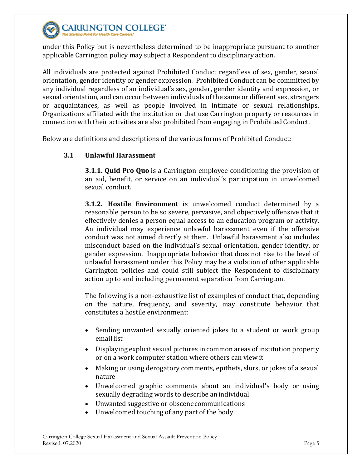

under this Policy but is nevertheless determined to be inappropriate pursuant to another applicable Carrington policy may subject a Respondent to disciplinary action.

All individuals are protected against Prohibited Conduct regardless of sex, gender, sexual orientation, gender identity or gender expression. Prohibited Conduct can be committed by any individual regardless of an individual's sex, gender, gender identity and expression, or sexual orientation, and can occur between individuals of the same or different sex, strangers or acquaintances, as well as people involved in intimate or sexual relationships. Organizations affiliated with the institution or that use Carrington property or resources in connection with their activities are also prohibited from engaging in Prohibited Conduct.

Below are definitions and descriptions of the various forms of Prohibited Conduct:

### **3.1 Unlawful Harassment**

**3.1.1. Quid Pro Quo** is a Carrington employee conditioning the provision of an aid, benefit, or service on an individual's participation in unwelcomed sexual conduct.

**3.1.2. Hostile Environment** is unwelcomed conduct determined by a reasonable person to be so severe, pervasive, and objectively offensive that it effectively denies a person equal access to an education program or activity. An individual may experience unlawful harassment even if the offensive conduct was not aimed directly at them. Unlawful harassment also includes misconduct based on the individual's sexual orientation, gender identity, or gender expression. Inappropriate behavior that does not rise to the level of unlawful harassment under this Policy may be a violation of other applicable Carrington policies and could still subject the Respondent to disciplinary action up to and including permanent separation from Carrington.

The following is a non-exhaustive list of examples of conduct that, depending on the nature, frequency, and severity, may constitute behavior that constitutes a hostile environment:

- Sending unwanted sexually oriented jokes to a student or work group email list
- Displaying explicit sexual pictures in common areas of institution property or on a work computer station where others can view it
- Making or using derogatory comments, epithets, slurs, or jokes of a sexual nature
- Unwelcomed graphic comments about an individual's body or using sexually degrading words to describe an individual
- Unwanted suggestive or obscenecommunications
- Unwelcomed touching of any part of the body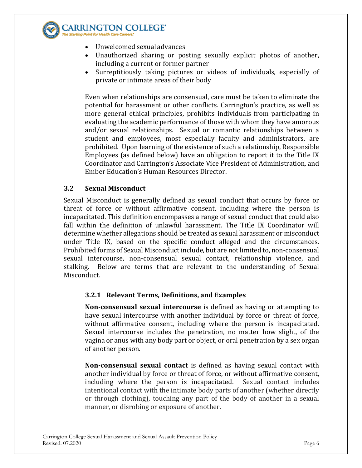

**ARRINGTON COLLEGE'** 

- Unwelcomed sexual advances
- Unauthorized sharing or posting sexually explicit photos of another, including a current or former partner
- Surreptitiously taking pictures or videos of individuals, especially of private or intimate areas of their body

Even when relationships are consensual, care must be taken to eliminate the potential for harassment or other conflicts. Carrington's practice, as well as more general ethical principles, prohibits individuals from participating in evaluating the academic performance of those with whom they have amorous and/or sexual relationships. Sexual or romantic relationships between a student and employees, most especially faculty and administrators, are prohibited. Upon learning of the existence of such a relationship, Responsible Employees (as defined below) have an obligation to report it to the Title IX Coordinator and Carrington's Associate Vice President of Administration, and Ember Education's Human Resources Director.

### **3.2 Sexual Misconduct**

Sexual Misconduct is generally defined as sexual conduct that occurs by force or threat of force or without affirmative consent, including where the person is incapacitated. This definition encompasses a range of sexual conduct that could also fall within the definition of unlawful harassment. The Title IX Coordinator will determine whether allegations should be treated as sexual harassment or misconduct under Title IX, based on the specific conduct alleged and the circumstances. Prohibited forms of Sexual Misconduct include, but are not limited to, non-consensual sexual intercourse, non-consensual sexual contact, relationship violence, and stalking. Below are terms that are relevant to the understanding of Sexual Misconduct.

### **3.2.1 Relevant Terms, Definitions, and Examples**

**Non-consensual sexual intercourse** is defined as having or attempting to have sexual intercourse with another individual by force or threat of force, without affirmative consent, including where the person is incapacitated. Sexual intercourse includes the penetration, no matter how slight, of the vagina or anus with any body part or object, or oral penetration by a sex organ of another person.

**Non-consensual sexual contact** is defined as having sexual contact with another individual by force or threat of force, or without affirmative consent, including where the person is incapacitated. Sexual contact includes intentional contact with the intimate body parts of another (whether directly or through clothing), touching any part of the body of another in a sexual manner, or disrobing or exposure of another.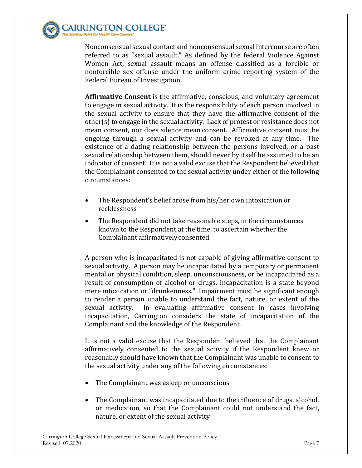

Nonconsensual sexual contact and nonconsensual sexual intercourse are often referred to as "sexual assault." As defined by the federal Violence Against Women Act, sexual assault means an offense classified as a forcible or nonforcible sex offense under the uniform crime reporting system of the Federal Bureau of Investigation.

**Affirmative Consent** is the affirmative, conscious, and voluntary agreement to engage in sexual activity. It is the responsibility of each person involved in the sexual activity to ensure that they have the affirmative consent of the other(s) to engage in the sexualactivity. Lack of protest or resistance does not mean consent, nor does silence mean consent. Affirmative consent must be ongoing through a sexual activity and can be revoked at any time. The existence of a dating relationship between the persons involved, or a past sexual relationship between them, should never by itself be assumed to be an indicator of consent. It is not a valid excuse that the Respondent believed that the Complainant consented to the sexual activity under either of the following circumstances:

- The Respondent's belief arose from his/her own intoxication or recklessness
- The Respondent did not take reasonable steps, in the circumstances known to the Respondent at the time, to ascertain whether the Complainant affirmativelyconsented

A person who is incapacitated is not capable of giving affirmative consent to sexual activity. A person may be incapacitated by a temporary or permanent mental or physical condition, sleep, unconsciousness, or be incapacitated as a result of consumption of alcohol or drugs. Incapacitation is a state beyond mere intoxication or "drunkenness." Impairment must be significant enough to render a person unable to understand the fact, nature, or extent of the sexual activity. In evaluating affirmative consent in cases involving In evaluating affirmative consent in cases involving incapacitation, Carrington considers the state of incapacitation of the Complainant and the knowledge of the Respondent.

It is not a valid excuse that the Respondent believed that the Complainant affirmatively consented to the sexual activity if the Respondent knew or reasonably should have known that the Complainant was unable to consent to the sexual activity under any of the following circumstances:

- The Complainant was asleep or unconscious
- The Complainant was incapacitated due to the influence of drugs, alcohol, or medication, so that the Complainant could not understand the fact, nature, or extent of the sexual activity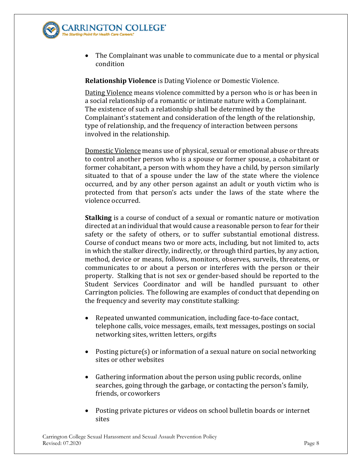

ARRINGTON COLLEGE'

• The Complainant was unable to communicate due to a mental or physical condition

**Relationship Violence** is Dating Violence or Domestic Violence.

Dating Violence means violence committed by a person who is or has been in a social relationship of a romantic or intimate nature with a Complainant. The existence of such a relationship shall be determined by the Complainant's statement and consideration of the length of the relationship, type of relationship, and the frequency of interaction between persons involved in the relationship.

Domestic Violence means use of physical, sexual or emotional abuse or threats to control another person who is a spouse or former spouse, a cohabitant or former cohabitant, a person with whom they have a child, by person similarly situated to that of a spouse under the law of the state where the violence occurred, and by any other person against an adult or youth victim who is protected from that person's acts under the laws of the state where the violence occurred.

**Stalking** is a course of conduct of a sexual or romantic nature or motivation directed at an individual that would cause a reasonable person to fear for their safety or the safety of others, or to suffer substantial emotional distress. Course of conduct means two or more acts, including, but not limited to, acts in which the stalker directly, indirectly, or through third parties, by any action, method, device or means, follows, monitors, observes, surveils, threatens, or communicates to or about a person or interferes with the person or their property. Stalking that is not sex or gender-based should be reported to the Student Services Coordinator and will be handled pursuant to other Carrington policies. The following are examples of conduct that depending on the frequency and severity may constitute stalking:

- Repeated unwanted communication, including face-to-face contact, telephone calls, voice messages, emails, text messages, postings on social networking sites, written letters, orgifts
- Posting picture(s) or information of a sexual nature on social networking sites or other websites
- Gathering information about the person using public records, online searches, going through the garbage, or contacting the person's family, friends, or coworkers
- Posting private pictures or videos on school bulletin boards or internet sites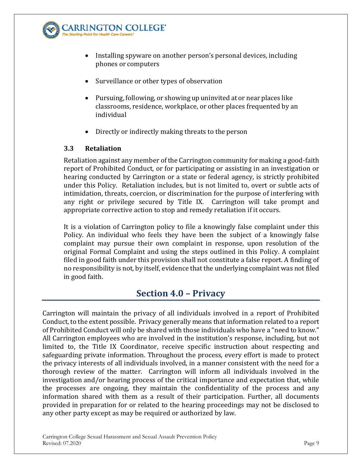

- Installing spyware on another person's personal devices, including phones or computers
- Surveillance or other types of observation
- Pursuing, following, or showing up uninvited at or near places like classrooms, residence, workplace, or other places frequented by an individual
- Directly or indirectly making threats to the person

### **3.3 Retaliation**

Retaliation against any member of the Carrington community for making a good-faith report of Prohibited Conduct, or for participating or assisting in an investigation or hearing conducted by Carrington or a state or federal agency, is strictly prohibited under this Policy. Retaliation includes, but is not limited to, overt or subtle acts of intimidation, threats, coercion, or discrimination for the purpose of interfering with any right or privilege secured by Title IX. Carrington will take prompt and appropriate corrective action to stop and remedy retaliation if it occurs.

It is a violation of Carrington policy to file a knowingly false complaint under this Policy. An individual who feels they have been the subject of a knowingly false complaint may pursue their own complaint in response, upon resolution of the original Formal Complaint and using the steps outlined in this Policy. A complaint filed in good faith under this provision shall not constitute a false report. A finding of no responsibility is not, by itself, evidence that the underlying complaint was not filed in good faith.

### **Section 4.0 – Privacy**

<span id="page-8-0"></span>Carrington will maintain the privacy of all individuals involved in a report of Prohibited Conduct, to the extent possible. Privacy generally means that information related to a report of Prohibited Conduct will only be shared with those individuals who have a "need to know." All Carrington employees who are involved in the institution's response, including, but not limited to, the Title IX Coordinator, receive specific instruction about respecting and safeguarding private information. Throughout the process, every effort is made to protect the privacy interests of all individuals involved, in a manner consistent with the need for a thorough review of the matter. Carrington will inform all individuals involved in the investigation and/or hearing process of the critical importance and expectation that, while the processes are ongoing, they maintain the confidentiality of the process and any information shared with them as a result of their participation. Further, all documents provided in preparation for or related to the hearing proceedings may not be disclosed to any other party except as may be required or authorized by law.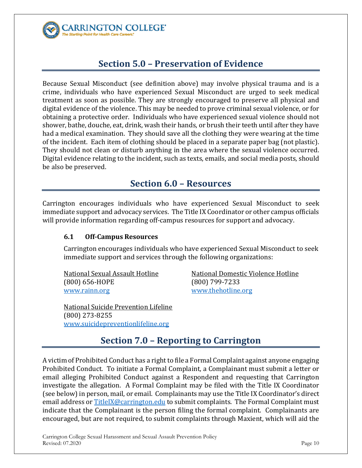

### **Section 5.0 – Preservation of Evidence**

<span id="page-9-0"></span>Because Sexual Misconduct (see definition above) may involve physical trauma and is a crime, individuals who have experienced Sexual Misconduct are urged to seek medical treatment as soon as possible. They are strongly encouraged to preserve all physical and digital evidence of the violence. This may be needed to prove criminal sexual violence, or for obtaining a protective order. Individuals who have experienced sexual violence should not shower, bathe, douche, eat, drink, wash their hands, or brush their teeth until after they have had a medical examination. They should save all the clothing they were wearing at the time of the incident. Each item of clothing should be placed in a separate paper bag (not plastic). They should not clean or disturb anything in the area where the sexual violence occurred. Digital evidence relating to the incident, such as texts, emails, and social media posts, should be also be preserved.

### **Section 6.0 – Resources**

<span id="page-9-1"></span>Carrington encourages individuals who have experienced Sexual Misconduct to seek immediate support and advocacy services. The Title IX Coordinator or other campus officials will provide information regarding off-campus resources for support and advocacy.

### **6.1 Off-Campus Resources**

Carrington encourages individuals who have experienced Sexual Misconduct to seek immediate support and services through the following organizations:

 $(800)$  656-HOPE<br>www.rainn.org

National Sexual Assault Hotline Mational Domestic Violence Hotline (800) 656-HOPE (900) 799-7233 [www.thehotline.org](http://www.thehotline.org/)

National Suicide Prevention Lifeline (800) 273-8255 [www.suicidepreventionlifeline.org](http://www.suicidepreventionlifeline.org/)

### **Section 7.0 – Reporting to Carrington**

<span id="page-9-2"></span>A victim of Prohibited Conduct has a right to file a Formal Complaint against anyone engaging Prohibited Conduct. To initiate a Formal Complaint, a Complainant must submit a letter or email alleging Prohibited Conduct against a Respondent and requesting that Carrington investigate the allegation. A Formal Complaint may be filed with the Title IX Coordinator (see below) in person, mail, or email. Complainants may use the Title IX Coordinator's direct email address or [TitleIX@carrington.edu](mailto:TitleIX@carrington.edu) to submit complaints. The Formal Complaint must indicate that the Complainant is the person filing the formal complaint. Complainants are encouraged, but are not required, to submit complaints through Maxient, which will aid the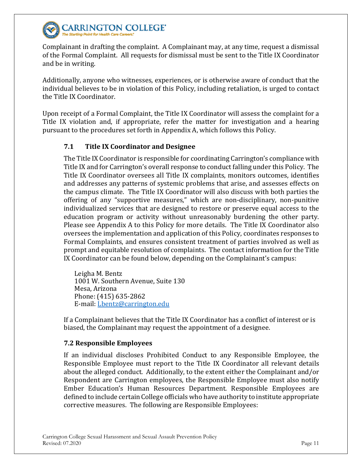

#### **CARRINGTON COLLEGE' The Starting Point for Health Care Care**

Complainant in drafting the complaint. A Complainant may, at any time, request a dismissal of the Formal Complaint. All requests for dismissal must be sent to the Title IX Coordinator and be in writing.

Additionally, anyone who witnesses, experiences, or is otherwise aware of conduct that the individual believes to be in violation of this Policy, including retaliation, is urged to contact the Title IX Coordinator.

Upon receipt of a Formal Complaint, the Title IX Coordinator will assess the complaint for a Title IX violation and, if appropriate, refer the matter for investigation and a hearing pursuant to the procedures set forth in Appendix A, which follows this Policy.

### **7.1 Title IX Coordinator and Designee**

The Title IX Coordinator is responsible for coordinating Carrington's compliance with Title IX and for Carrington's overall response to conduct falling under this Policy. The Title IX Coordinator oversees all Title IX complaints, monitors outcomes, identifies and addresses any patterns of systemic problems that arise, and assesses effects on the campus climate. The Title IX Coordinator will also discuss with both parties the offering of any "supportive measures," which are non-disciplinary, non-punitive individualized services that are designed to restore or preserve equal access to the education program or activity without unreasonably burdening the other party. Please see Appendix A to this Policy for more details. The Title IX Coordinator also oversees the implementation and application of this Policy, coordinates responses to Formal Complaints, and ensures consistent treatment of parties involved as well as prompt and equitable resolution of complaints. The contact information for the Title IX Coordinator can be found below, depending on the Complainant's campus:

Leigha M. Bentz 1001 W. Southern Avenue, Suite 130 Mesa, Arizona Phone: (415) 635-2862 E-mail: [Lbentz@carrington.edu](mailto:Lbentz@carrington.edu)

If a Complainant believes that the Title IX Coordinator has a conflict of interest or is biased, the Complainant may request the appointment of a designee.

### **7.2 Responsible Employees**

If an individual discloses Prohibited Conduct to any Responsible Employee, the Responsible Employee must report to the Title IX Coordinator all relevant details about the alleged conduct. Additionally, to the extent either the Complainant and/or Respondent are Carrington employees, the Responsible Employee must also notify Ember Education's Human Resources Department. Responsible Employees are defined to include certain College officials who have authority to institute appropriate corrective measures. The following are Responsible Employees: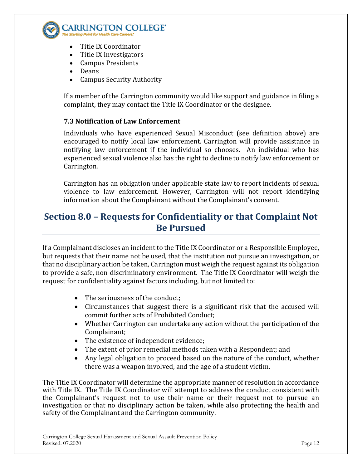

- Title IX Coordinator
- Title IX Investigators
- Campus Presidents
- Deans
- Campus Security Authority

If a member of the Carrington community would like support and guidance in filing a complaint, they may contact the Title IX Coordinator or the designee.

### **7.3 Notification of Law Enforcement**

Individuals who have experienced Sexual Misconduct (see definition above) are encouraged to notify local law enforcement. Carrington will provide assistance in notifying law enforcement if the individual so chooses. An individual who has experienced sexual violence also has the right to decline to notify law enforcement or Carrington.

Carrington has an obligation under applicable state law to report incidents of sexual violence to law enforcement. However, Carrington will not report identifying information about the Complainant without the Complainant's consent.

### <span id="page-11-0"></span>**Section 8.0 – Requests for Confidentiality or that Complaint Not Be Pursued**

If a Complainant discloses an incident to the Title IX Coordinator or a Responsible Employee, but requests that their name not be used, that the institution not pursue an investigation, or that no disciplinary action be taken, Carrington must weigh the request against its obligation to provide a safe, non-discriminatory environment. The Title IX Coordinator will weigh the request for confidentiality against factors including, but not limited to:

- The seriousness of the conduct;
- Circumstances that suggest there is a significant risk that the accused will commit further acts of Prohibited Conduct;
- Whether Carrington can undertake any action without the participation of the Complainant;
- The existence of independent evidence;
- The extent of prior remedial methods taken with a Respondent; and
- Any legal obligation to proceed based on the nature of the conduct, whether there was a weapon involved, and the age of a student victim.

The Title IX Coordinator will determine the appropriate manner of resolution in accordance with Title IX. The Title IX Coordinator will attempt to address the conduct consistent with the Complainant's request not to use their name or their request not to pursue an investigation or that no disciplinary action be taken, while also protecting the health and safety of the Complainant and the Carrington community.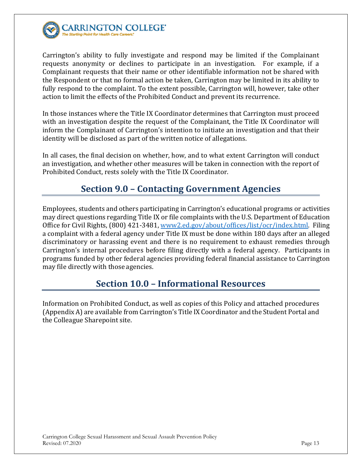

Carrington's ability to fully investigate and respond may be limited if the Complainant requests anonymity or declines to participate in an investigation. For example, if a Complainant requests that their name or other identifiable information not be shared with the Respondent or that no formal action be taken, Carrington may be limited in its ability to fully respond to the complaint. To the extent possible, Carrington will, however, take other action to limit the effects of the Prohibited Conduct and prevent its recurrence.

In those instances where the Title IX Coordinator determines that Carrington must proceed with an investigation despite the request of the Complainant, the Title IX Coordinator will inform the Complainant of Carrington's intention to initiate an investigation and that their identity will be disclosed as part of the written notice of allegations.

<span id="page-12-0"></span>In all cases, the final decision on whether, how, and to what extent Carrington will conduct an investigation, and whether other measures will be taken in connection with the report of Prohibited Conduct, rests solely with the Title IX Coordinator.

### **Section 9.0 – Contacting Government Agencies**

Employees, students and others participating in Carrington's educational programs or activities may direct questions regarding Title IX or file complaints with the U.S. Department of Education Office for Civil Rights, (800) 421-3481, [www2.ed.gov/about/offices/list/ocr/index.html.](https://www2.ed.gov/about/offices/list/ocr/index.html) Filing a complaint with a federal agency under Title IX must be done within 180 days after an alleged discriminatory or harassing event and there is no requirement to exhaust remedies through Carrington's internal procedures before filing directly with a federal agency. Participants in programs funded by other federal agencies providing federal financial assistance to Carrington may file directly with those agencies.

### **Section 10.0 – Informational Resources**

<span id="page-12-1"></span>Information on Prohibited Conduct, as well as copies of this Policy and attached procedures (Appendix A) are available from Carrington's Title IX Coordinator and the Student Portal and the Colleague Sharepoint site.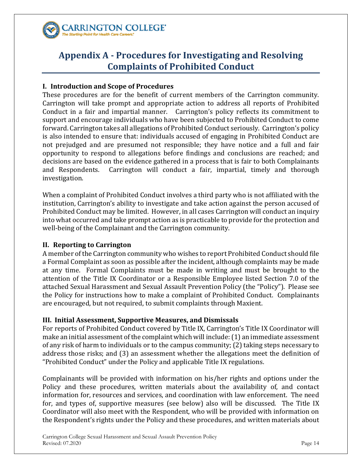

### <span id="page-13-0"></span>**Appendix A - Procedures for Investigating and Resolving Complaints of Prohibited Conduct**

### <span id="page-13-1"></span>**I. Introduction and Scope of Procedures**

These procedures are for the benefit of current members of the Carrington community. Carrington will take prompt and appropriate action to address all reports of Prohibited Conduct in a fair and impartial manner. Carrington's policy reflects its commitment to support and encourage individuals who have been subjected to Prohibited Conduct to come forward. Carrington takes all allegations of Prohibited Conduct seriously. Carrington's policy is also intended to ensure that: individuals accused of engaging in Prohibited Conduct are not prejudged and are presumed not responsible; they have notice and a full and fair opportunity to respond to allegations before findings and conclusions are reached; and decisions are based on the evidence gathered in a process that is fair to both Complainants<br>and Respondents. Carrington will conduct a fair, impartial, timely and thorough Carrington will conduct a fair, impartial, timely and thorough investigation.

When a complaint of Prohibited Conduct involves a third party who is not affiliated with the institution, Carrington's ability to investigate and take action against the person accused of Prohibited Conduct may be limited. However, in all cases Carrington will conduct an inquiry into what occurred and take prompt action as is practicable to provide for the protection and well-being of the Complainant and the Carrington community.

### <span id="page-13-2"></span>**II. Reporting to Carrington**

A member of the Carrington community who wishes to report Prohibited Conduct should file a Formal Complaint as soon as possible after the incident, although complaints may be made at any time. Formal Complaints must be made in writing and must be brought to the attention of the Title IX Coordinator or a Responsible Employee listed Section 7.0 of the attached Sexual Harassment and Sexual Assault Prevention Policy (the "Policy"). Please see the Policy for instructions how to make a complaint of Prohibited Conduct. Complainants are encouraged, but not required, to submit complaints through Maxient.

### <span id="page-13-3"></span>**III. Initial Assessment, Supportive Measures, and Dismissals**

For reports of Prohibited Conduct covered by Title IX, Carrington's Title IX Coordinator will make an initial assessment of the complaint which will include: (1) an immediate assessment of any risk of harm to individuals or to the campus community; (2) taking steps necessary to address those risks; and (3) an assessment whether the allegations meet the definition of "Prohibited Conduct" under the Policy and applicable Title IX regulations.

Complainants will be provided with information on his/her rights and options under the Policy and these procedures, written materials about the availability of, and contact information for, resources and services, and coordination with law enforcement. The need for, and types of, supportive measures (see below) also will be discussed. The Title IX Coordinator will also meet with the Respondent, who will be provided with information on the Respondent's rights under the Policy and these procedures, and written materials about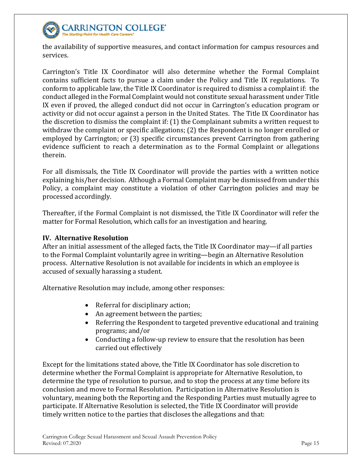

**CARRINGTON COLLEGE'** 

the availability of supportive measures, and contact information for campus resources and services.

Carrington's Title IX Coordinator will also determine whether the Formal Complaint contains sufficient facts to pursue a claim under the Policy and Title IX regulations. To conform to applicable law, the Title IX Coordinator is required to dismiss a complaint if: the conduct alleged in the Formal Complaint would not constitute sexual harassment under Title IX even if proved, the alleged conduct did not occur in Carrington's education program or activity or did not occur against a person in the United States. The Title IX Coordinator has the discretion to dismiss the complaint if: (1) the Complainant submits a written request to withdraw the complaint or specific allegations; (2) the Respondent is no longer enrolled or employed by Carrington; or (3) specific circumstances prevent Carrington from gathering evidence sufficient to reach a determination as to the Formal Complaint or allegations therein.

For all dismissals, the Title IX Coordinator will provide the parties with a written notice explaining his/her decision. Although a Formal Complaint may be dismissed from under this Policy, a complaint may constitute a violation of other Carrington policies and may be processed accordingly.

Thereafter, if the Formal Complaint is not dismissed, the Title IX Coordinator will refer the matter for Formal Resolution, which calls for an investigation and hearing.

### <span id="page-14-0"></span>**IV. Alternative Resolution**

After an initial assessment of the alleged facts, the Title IX Coordinator may—if all parties to the Formal Complaint voluntarily agree in writing—begin an Alternative Resolution process. Alternative Resolution is not available for incidents in which an employee is accused of sexually harassing a student.

Alternative Resolution may include, among other responses:

- Referral for disciplinary action;
- An agreement between the parties;
- Referring the Respondent to targeted preventive educational and training programs; and/or
- Conducting a follow-up review to ensure that the resolution has been carried out effectively

Except for the limitations stated above, the Title IX Coordinator has sole discretion to determine whether the Formal Complaint is appropriate for Alternative Resolution, to determine the type of resolution to pursue, and to stop the process at any time before its conclusion and move to Formal Resolution. Participation in Alternative Resolution is voluntary, meaning both the Reporting and the Responding Parties must mutually agree to participate. If Alternative Resolution is selected, the Title IX Coordinator will provide timely written notice to the parties that discloses the allegations and that: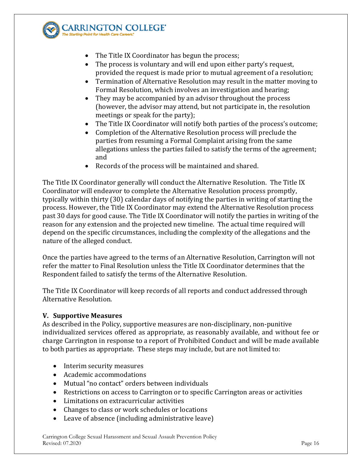

ARRINGTON COLLEGE'

- The Title IX Coordinator has begun the process;
- The process is voluntary and will end upon either party's request, provided the request is made prior to mutual agreement of a resolution;
- Termination of Alternative Resolution may result in the matter moving to Formal Resolution, which involves an investigation and hearing;
- They may be accompanied by an advisor throughout the process (however, the advisor may attend, but not participate in, the resolution meetings or speak for the party);
- The Title IX Coordinator will notify both parties of the process's outcome;
- Completion of the Alternative Resolution process will preclude the parties from resuming a Formal Complaint arising from the same allegations unless the parties failed to satisfy the terms of the agreement; and
- Records of the process will be maintained and shared.

The Title IX Coordinator generally will conduct the Alternative Resolution. The Title IX Coordinator will endeavor to complete the Alternative Resolution process promptly, typically within thirty (30) calendar days of notifying the parties in writing of starting the process. However, the Title IX Coordinator may extend the Alternative Resolution process past 30 days for good cause. The Title IX Coordinator will notify the parties in writing of the reason for any extension and the projected new timeline. The actual time required will depend on the specific circumstances, including the complexity of the allegations and the nature of the alleged conduct.

Once the parties have agreed to the terms of an Alternative Resolution, Carrington will not refer the matter to Final Resolution unless the Title IX Coordinator determines that the Respondent failed to satisfy the terms of the Alternative Resolution.

The Title IX Coordinator will keep records of all reports and conduct addressed through Alternative Resolution.

### <span id="page-15-0"></span>**V. Supportive Measures**

As described in the Policy, supportive measures are non-disciplinary, non-punitive individualized services offered as appropriate, as reasonably available, and without fee or charge Carrington in response to a report of Prohibited Conduct and will be made available to both parties as appropriate. These steps may include, but are not limited to:

- Interim security measures
- Academic accommodations
- Mutual "no contact" orders between individuals
- Restrictions on access to Carrington or to specific Carrington areas or activities
- Limitations on extracurricular activities
- Changes to class or work schedules or locations
- Leave of absence (including administrative leave)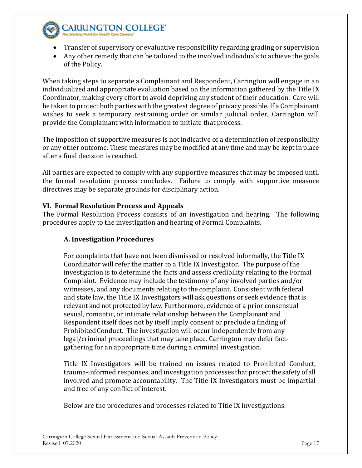

# **CARRINGTON COLLEGE'**

- Transfer of supervisory or evaluative responsibility regarding grading or supervision
- Any other remedy that can be tailored to the involved individuals to achieve the goals of the Policy.

When taking steps to separate a Complainant and Respondent, Carrington will engage in an individualized and appropriate evaluation based on the information gathered by the Title IX Coordinator, making every effort to avoid depriving any student of their education. Care will be taken to protect both parties with the greatest degree of privacy possible. If a Complainant wishes to seek a temporary restraining order or similar judicial order, Carrington will provide the Complainant with information to initiate that process.

The imposition of supportive measures is not indicative of a determination of responsibility or any other outcome. These measures may be modified at any time and may be kept in place after a final decision is reached.

All parties are expected to comply with any supportive measures that may be imposed until the formal resolution process concludes. Failure to comply with supportive measure directives may be separate grounds for disciplinary action.

### <span id="page-16-0"></span>**VI. Formal Resolution Process and Appeals**

The Formal Resolution Process consists of an investigation and hearing. The following procedures apply to the investigation and hearing of Formal Complaints.

### **A. Investigation Procedures**

For complaints that have not been dismissed or resolved informally, the Title IX Coordinator will refer the matter to a Title IX Investigator. The purpose of the investigation is to determine the facts and assess credibility relating to the Formal Complaint. Evidence may include the testimony of any involved parties and/or witnesses, and any documents relating to the complaint. Consistent with federal and state law, the Title IX Investigators will ask questions or seek evidence that is relevant and not protected by law. Furthermore, evidence of a prior consensual sexual, romantic, or intimate relationship between the Complainant and Respondent itself does not by itself imply consent or preclude a finding of Prohibited Conduct. The investigation will occur independently from any legal/criminal proceedings that may take place. Carrington may defer factgathering for an appropriate time during a criminal investigation.

Title IX Investigators will be trained on issues related to Prohibited Conduct, trauma-informed responses, and investigation processes that protectthe safety of all involved and promote accountability. The Title IX Investigators must be impartial and free of any conflict of interest.

Below are the procedures and processes related to Title IX investigations: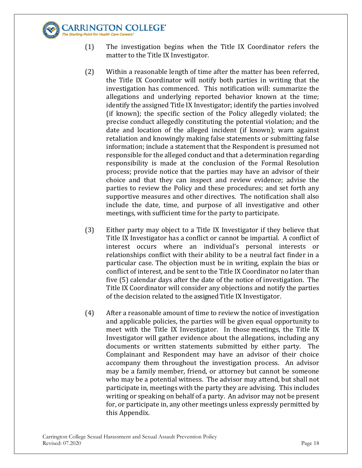

- (1) The investigation begins when the Title IX Coordinator refers the matter to the Title IX Investigator.
- (2) Within a reasonable length of time after the matter has been referred, the Title IX Coordinator will notify both parties in writing that the investigation has commenced. This notification will: summarize the allegations and underlying reported behavior known at the time; identify the assigned Title IX Investigator; identify the parties involved (if known); the specific section of the Policy allegedly violated; the precise conduct allegedly constituting the potential violation; and the date and location of the alleged incident (if known); warn against retaliation and knowingly making false statements or submitting false information; include a statement that the Respondent is presumed not responsible for the alleged conduct and that a determination regarding responsibility is made at the conclusion of the Formal Resolution process; provide notice that the parties may have an advisor of their choice and that they can inspect and review evidence; advise the parties to review the Policy and these procedures; and set forth any supportive measures and other directives. The notification shall also include the date, time, and purpose of all investigative and other meetings, with sufficient time for the party to participate.
- (3) Either party may object to a Title IX Investigator if they believe that Title IX Investigator has a conflict or cannot be impartial. A conflict of interest occurs where an individual's personal interests or relationships conflict with their ability to be a neutral fact finder in a particular case. The objection must be in writing, explain the bias or conflict of interest, and be sent to the Title IX Coordinator no later than five (5) calendar days after the date of the notice of investigation. The Title IX Coordinator will consider any objections and notify the parties of the decision related to the assigned Title IX Investigator.
- (4) After a reasonable amount of time to review the notice of investigation and applicable policies, the parties will be given equal opportunity to meet with the Title IX Investigator. In those meetings, the Title IX Investigator will gather evidence about the allegations, including any documents or written statements submitted by either party. The Complainant and Respondent may have an advisor of their choice accompany them throughout the investigation process. An advisor may be a family member, friend, or attorney but cannot be someone who may be a potential witness. The advisor may attend, but shall not participate in, meetings with the party they are advising. This includes writing or speaking on behalf of a party. An advisor may not be present for, or participate in, any other meetings unless expressly permitted by this Appendix.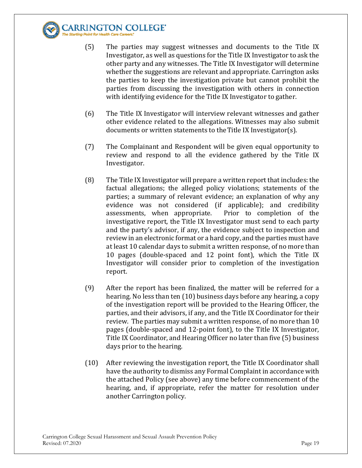

- (5) The parties may suggest witnesses and documents to the Title IX Investigator, as well as questions for the Title IX Investigator to ask the other party and any witnesses. The Title IX Investigator will determine whether the suggestions are relevant and appropriate. Carrington asks the parties to keep the investigation private but cannot prohibit the parties from discussing the investigation with others in connection with identifying evidence for the Title IX Investigator to gather.
- (6) The Title IX Investigator will interview relevant witnesses and gather other evidence related to the allegations. Witnesses may also submit documents or written statements to theTitle IX Investigator(s).
- (7) The Complainant and Respondent will be given equal opportunity to review and respond to all the evidence gathered by the Title IX Investigator.
- (8) The Title IX Investigator will prepare a written report that includes: the factual allegations; the alleged policy violations; statements of the parties; a summary of relevant evidence; an explanation of why any evidence was not considered (if applicable); and credibility assessments, when appropriate. Prior to completion of the assessments, when appropriate. investigative report, the Title IX Investigator must send to each party and the party's advisor, if any, the evidence subject to inspection and review in an electronic format or a hard copy, and the parties must have at least 10 calendar days to submit a written response, of no more than 10 pages (double-spaced and 12 point font), which the Title IX Investigator will consider prior to completion of the investigation report.
- (9) After the report has been finalized, the matter will be referred for a hearing. No less than ten (10) business days before any hearing, a copy of the investigation report will be provided to the Hearing Officer, the parties, and their advisors, if any, and the Title IX Coordinator for their review. The parties may submit a written response, of no more than 10 pages (double-spaced and 12-point font), to the Title IX Investigator, Title IX Coordinator, and Hearing Officer no later than five (5) business days prior to the hearing.
- (10) After reviewing the investigation report, the Title IX Coordinator shall have the authority to dismiss any Formal Complaint in accordance with the attached Policy (see above) any time before commencement of the hearing, and, if appropriate, refer the matter for resolution under another Carrington policy.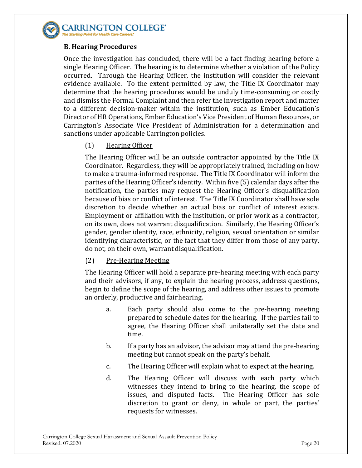

### **B. Hearing Procedures**

Once the investigation has concluded, there will be a fact-finding hearing before a single Hearing Officer. The hearing is to determine whether a violation of the Policy occurred. Through the Hearing Officer, the institution will consider the relevant evidence available. To the extent permitted by law, the Title IX Coordinator may determine that the hearing procedures would be unduly time-consuming or costly and dismiss the Formal Complaint and then refer the investigation report and matter to a different decision-maker within the institution, such as Ember Education's Director of HR Operations, Ember Education's Vice President of Human Resources, or Carrington's Associate Vice President of Administration for a determination and sanctions under applicable Carrington policies.

### (1) Hearing Officer

The Hearing Officer will be an outside contractor appointed by the Title IX Coordinator. Regardless, they will be appropriately trained, including on how to make a trauma-informed response. The Title IX Coordinator will inform the parties of the Hearing Officer's identity. Within five (5) calendar days after the notification, the parties may request the Hearing Officer's disqualification because of bias or conflict of interest. The Title IX Coordinator shall have sole discretion to decide whether an actual bias or conflict of interest exists. Employment or affiliation with the institution, or prior work as a contractor, on its own, does not warrant disqualification. Similarly, the Hearing Officer's gender, gender identity, race, ethnicity, religion, sexual orientation or similar identifying characteristic, or the fact that they differ from those of any party, do not, on their own, warrant disqualification.

### (2) Pre-Hearing Meeting

The Hearing Officer will hold a separate pre-hearing meeting with each party and their advisors, if any, to explain the hearing process, address questions, begin to define the scope of the hearing, and address other issues to promote an orderly, productive and fairhearing.

- a. Each party should also come to the pre-hearing meeting preparedto schedule dates for the hearing. If the parties fail to agree, the Hearing Officer shall unilaterally set the date and time.
- b. If a party has an advisor, the advisor may attend the pre-hearing meeting but cannot speak on the party's behalf.
- c. The Hearing Officer will explain what to expect at the hearing.
- d. The Hearing Officer will discuss with each party which witnesses they intend to bring to the hearing, the scope of issues, and disputed facts. The Hearing Officer has sole discretion to grant or deny, in whole or part, the parties' requests for witnesses.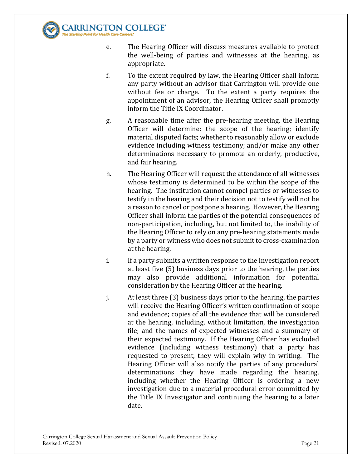

- e. The Hearing Officer will discuss measures available to protect the well-being of parties and witnesses at the hearing, as appropriate.
- f. To the extent required by law, the Hearing Officer shall inform any party without an advisor that Carrington will provide one without fee or charge. To the extent a party requires the appointment of an advisor, the Hearing Officer shall promptly inform the Title IX Coordinator.
- g. A reasonable time after the pre-hearing meeting, the Hearing Officer will determine: the scope of the hearing; identify material disputed facts; whether to reasonably allow or exclude evidence including witness testimony; and/or make any other determinations necessary to promote an orderly, productive, and fair hearing.
- h. The Hearing Officer will request the attendance of all witnesses whose testimony is determined to be within the scope of the hearing. The institution cannot compel parties or witnesses to testify in the hearing and their decision not to testify will not be a reason to cancel or postpone a hearing. However, the Hearing Officer shall inform the parties of the potential consequences of non-participation, including, but not limited to, the inability of the Hearing Officer to rely on any pre-hearing statements made by a party or witness who does not submit to cross-examination at the hearing.
- i. If a party submits a written response to the investigation report at least five (5) business days prior to the hearing, the parties may also provide additional information for potential consideration by the Hearing Officer at the hearing.
- j. At least three (3) business days prior to the hearing, the parties will receive the Hearing Officer's written confirmation of scope and evidence; copies of all the evidence that will be considered at the hearing, including, without limitation, the investigation file; and the names of expected witnesses and a summary of their expected testimony. If the Hearing Officer has excluded evidence (including witness testimony) that a party has requested to present, they will explain why in writing. The Hearing Officer will also notify the parties of any procedural determinations they have made regarding the hearing, including whether the Hearing Officer is ordering a new investigation due to a material procedural error committed by the Title IX Investigator and continuing the hearing to a later date.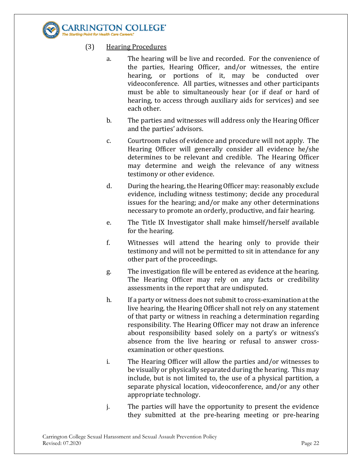

- (3) Hearing Procedures
	- a. The hearing will be live and recorded. For the convenience of the parties, Hearing Officer, and/or witnesses, the entire hearing, or portions of it, may be conducted over videoconference. All parties, witnesses and other participants must be able to simultaneously hear (or if deaf or hard of hearing, to access through auxiliary aids for services) and see each other.
	- b. The parties and witnesses will address only the Hearing Officer and the parties' advisors.
	- c. Courtroom rules of evidence and procedure will not apply. The Hearing Officer will generally consider all evidence he/she determines to be relevant and credible. The Hearing Officer may determine and weigh the relevance of any witness testimony or other evidence.
	- d. During the hearing, the Hearing Officer may: reasonably exclude evidence, including witness testimony; decide any procedural issues for the hearing; and/or make any other determinations necessary to promote an orderly, productive, and fair hearing.
	- e. The Title IX Investigator shall make himself/herself available for the hearing.
	- f. Witnesses will attend the hearing only to provide their testimony and will not be permitted to sit in attendance for any other part of the proceedings.
	- g. The investigation file will be entered as evidence at the hearing. The Hearing Officer may rely on any facts or credibility assessments in the report that are undisputed.
	- h. If a party or witness does not submit to cross-examination at the live hearing, the Hearing Officer shall not rely on any statement of that party or witness in reaching a determination regarding responsibility. The Hearing Officer may not draw an inference about responsibility based solely on a party's or witness's absence from the live hearing or refusal to answer crossexamination or other questions.
	- i. The Hearing Officer will allow the parties and/or witnesses to be visually or physically separated during the hearing. This may include, but is not limited to, the use of a physical partition, a separate physical location, videoconference, and/or any other appropriate technology.
	- j. The parties will have the opportunity to present the evidence they submitted at the pre-hearing meeting or pre-hearing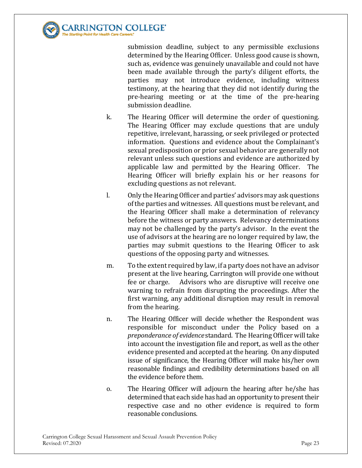

submission deadline, subject to any permissible exclusions determined by the Hearing Officer. Unless good cause is shown, such as, evidence was genuinely unavailable and could not have been made available through the party's diligent efforts, the parties may not introduce evidence, including witness testimony, at the hearing that they did not identify during the pre-hearing meeting or at the time of the pre-hearing submission deadline.

- k. The Hearing Officer will determine the order of questioning. The Hearing Officer may exclude questions that are unduly repetitive, irrelevant, harassing, or seek privileged or protected information. Questions and evidence about the Complainant's sexual predisposition or prior sexual behavior are generally not relevant unless such questions and evidence are authorized by applicable law and permitted by the Hearing Officer. The Hearing Officer will briefly explain his or her reasons for excluding questions as not relevant.
- l. Only the Hearing Officer and parties' advisors may ask questions of the parties and witnesses. All questions must be relevant, and the Hearing Officer shall make a determination of relevancy before the witness or party answers. Relevancy determinations may not be challenged by the party's advisor. In the event the use of advisors at the hearing are no longer required by law, the parties may submit questions to the Hearing Officer to ask questions of the opposing party and witnesses.
- m. To the extent required by law, if a party does not have an advisor present at the live hearing, Carrington will provide one without fee or charge. Advisors who are disruptive will receive one warning to refrain from disrupting the proceedings. After the first warning, any additional disruption may result in removal from the hearing.
- n. The Hearing Officer will decide whether the Respondent was responsible for misconduct under the Policy based on a *preponderance of evidence* standard. The Hearing Officer will take into account the investigation file and report, as well as the other evidence presented and accepted at the hearing. On any disputed issue of significance, the Hearing Officer will make his/her own reasonable findings and credibility determinations based on all the evidence before them.
- o. The Hearing Officer will adjourn the hearing after he/she has determined that each side has had an opportunity to present their respective case and no other evidence is required to form reasonable conclusions.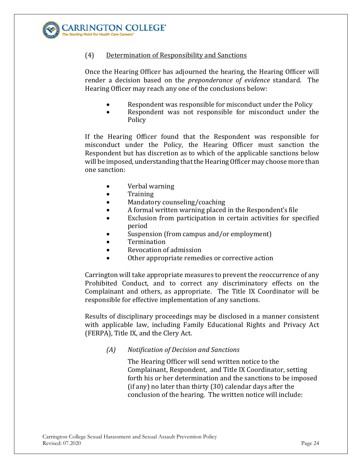

### (4) Determination of Responsibility and Sanctions

Once the Hearing Officer has adjourned the hearing, the Hearing Officer will render a decision based on the *preponderance of evidence* standard. The Hearing Officer may reach any one of the conclusions below:

- Respondent was responsible for misconduct under the Policy
- Respondent was not responsible for misconduct under the **Policy**

If the Hearing Officer found that the Respondent was responsible for misconduct under the Policy, the Hearing Officer must sanction the Respondent but has discretion as to which of the applicable sanctions below will be imposed, understanding that the Hearing Officer may choose more than one sanction:

- Verbal warning
- Training
- Mandatory counseling/coaching<br>• A formal written warning placed
- A formal written warning placed in the Respondent's file
- Exclusion from participation in certain activities for specified period
- Suspension (from campus and/or employment)
- **Termination**
- Revocation of admission
- Other appropriate remedies or corrective action

Carrington will take appropriate measures to prevent the reoccurrence of any Prohibited Conduct, and to correct any discriminatory effects on the Complainant and others, as appropriate. The Title IX Coordinator will be responsible for effective implementation of any sanctions.

Results of disciplinary proceedings may be disclosed in a manner consistent with applicable law, including Family Educational Rights and Privacy Act (FERPA), Title IX, and the Clery Act.

*(A) Notification of Decision and Sanctions* 

The Hearing Officer will send written notice to the Complainant, Respondent, and Title IX Coordinator, setting forth his or her determination and the sanctions to be imposed (if any) no later than thirty (30) calendar days after the conclusion of the hearing. The written notice will include: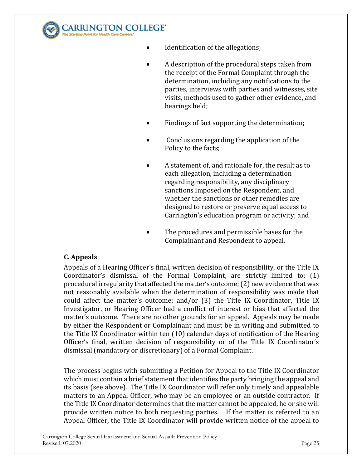

- Identification of the allegations;
- A description of the procedural steps taken from the receipt of the Formal Complaint through the determination, including any notifications to the parties, interviews with parties and witnesses, site visits, methods used to gather other evidence, and hearings held;
- Findings of fact supporting the determination;
- Conclusions regarding the application of the Policy to the facts;
	- A statement of, and rationale for, the result as to each allegation, including a determination regarding responsibility, any disciplinary sanctions imposed on the Respondent, and whether the sanctions or other remedies are designed to restore or preserve equal access to Carrington's education program or activity; and
	- The procedures and permissible bases for the Complainant and Respondent to appeal.

### **C. Appeals**

Appeals of a Hearing Officer's final, written decision of responsibility, or the Title IX Coordinator's dismissal of the Formal Complaint, are strictly limited to: (1) procedural irregularity that affected the matter's outcome; (2) new evidence that was not reasonably available when the determination of responsibility was made that could affect the matter's outcome; and/or (3) the Title IX Coordinator, Title IX Investigator, or Hearing Officer had a conflict of interest or bias that affected the matter's outcome. There are no other grounds for an appeal. Appeals may be made by either the Respondent or Complainant and must be in writing and submitted to the Title IX Coordinator within ten (10) calendar days of notification of the Hearing Officer's final, written decision of responsibility or of the Title IX Coordinator's dismissal (mandatory or discretionary) of a Formal Complaint.

The process begins with submitting a Petition for Appeal to the Title IX Coordinator which must contain a brief statement that identifies the party bringing the appeal and its basis (see above). The Title IX Coordinator will refer only timely and appealable matters to an Appeal Officer, who may be an employee or an outside contractor. If the Title IX Coordinator determines that the matter cannot be appealed, he or she will provide written notice to both requesting parties. If the matter is referred to an Appeal Officer, the Title IX Coordinator will provide written notice of the appeal to